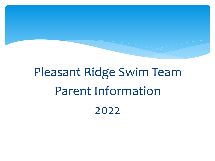## Pleasant Ridge Swim Team Parent Information 2022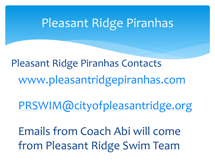Pleasant Ridge Piranhas Contacts [www.pleasantridgepiranhas.com](http://www.pleasantridgepiranhas.com/)

[PRSWIM@cityofpleasantridge.org](mailto:PRSWIM@cityofpleasantridge.org)

Emails from Coach Abi will come from Pleasant Ridge Swim Team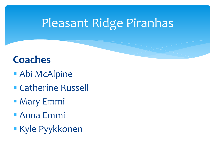#### **Coaches**

- **Abi McAlpine**
- Catherine Russell
- Mary Emmi
- Anna Emmi
- **E** Kyle Pyykkonen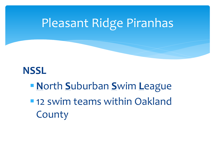#### **NSSL**

▪**N**orth **S**uburban **S**wim **L**eague ■ 12 swim teams within Oakland County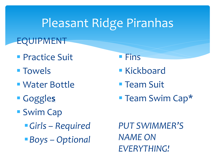- EQUIPMENT
- **Practice Suit**
- Towels
- Water Bottle
- Goggle**s**
- Swim Cap
	- ▪*Girls – Required*
	- ▪*Boys – Optional*
- Fins
- **E** Kickboard
- **E** Team Suit
- **Team Swim Cap\***

*PUT SWIMMER'S NAME ON EVERYTHING!*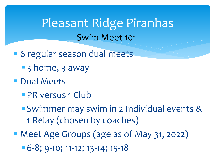- **6 regular season dual meets** 
	- ■3 home, 3 away
- Dual Meets
	- **PR versus 1 Club**
	- **Swimmer may swim in 2 Individual events &** 1 Relay (chosen by coaches)
- Meet Age Groups (age as of May 31, 2022)
	- **6-8; 9-10; 11-12; 13-14; 15-18**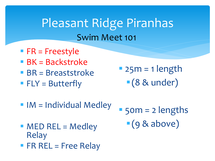- $\blacksquare$  FR = Freestyle
- $\blacksquare$  BK = Backstroke
- $\blacksquare$  BR = Breaststroke
- $\blacksquare$  FLY = Butterfly

 $\blacksquare$  25m = 1 length  $(8 \&$  under)

 $\blacksquare$  IM = Individual Medley

 $\blacksquare$  50m = 2 lengths  $\blacksquare$  (9 & above)

- $\blacksquare$  MED REL = Medley Relay
- $\blacksquare$  FR REL = Free Relay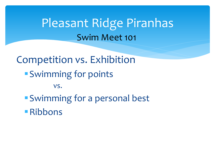Competition vs. Exhibition ■ Swimming for points vs. ▪Swimming for a personal best ■Ribbons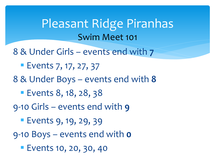- 8 & Under Girls events end with **7**
	- Events 7, 17, 27, 37
- 8 & Under Boys events end with **8**
	- **Events 8, 18, 28, 38**
- 9-10 Girls events end with **9**
	- **Events 9, 19, 29, 39**
- 9-10 Boys events end with **0**
	- Events 10, 20, 30, 40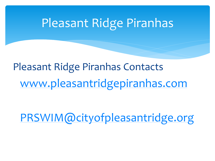## Pleasant Ridge Piranhas Contacts [www.pleasantridgepiranhas.com](http://www.pleasantridgepiranhas.com/)

[PRSWIM@cityofpleasantridge.org](mailto:PRSWIM@cityofpleasantridge.org)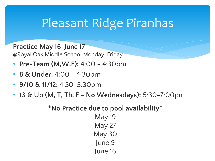#### **Practice May 16-June 17**

@Royal Oak Middle School Monday-Friday

- **Pre-Team (M,W,F):** 4:00 4:30pm
- **8 & Under:** 4:00 4:30pm
- **9/10 & 11/12:** 4:30-5:30pm
- **13 & Up (M, T, Th, F - No Wednesdays):** 5:30-7:00pm

**\*No Practice due to pool availability\*** May 19

May 27 May 30 June 9 June 16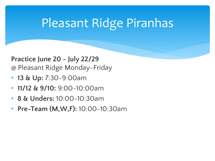**Practice June 20 - July 22/29** @ Pleasant Ridge Monday-Friday

- **13 & Up:** 7:30-9:00am
- **11/12 & 9/10:** 9:00-10:00am
- **8 & Unders:** 10:00-10:30am
- **Pre-Team (M,W,F):** 10:00-10:30am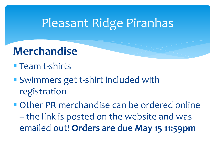#### **Merchandise**

- Team t-shirts
- **Swimmers get t-shirt included with** registration
- **Other PR merchandise can be ordered online** – the link is posted on the website and was emailed out! **Orders are due May 15 11:59pm**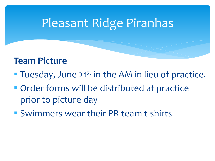#### **Team Picture**

- $\blacksquare$  Tuesday, June 21<sup>st</sup> in the AM in lieu of practice.
- **Order forms will be distributed at practice** prior to picture day
- Swimmers wear their PR team t-shirts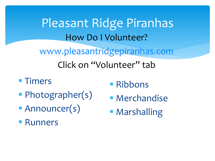Pleasant Ridge Piranhas How Do I Volunteer? [www.pleasantridgepiranhas.com](http://www.pleasantridgepiranhas.com/) Click on "Volunteer" tab

- Timers
- Photographer(s)
- Announcer(s)
- Runners
- Ribbons
- **E** Merchandise
- **Marshalling**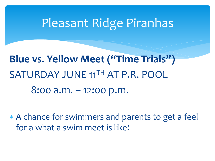**Blue vs. Yellow Meet ("Time Trials")** SATURDAY JUNE 11<sup>TH</sup> AT P.R. POOL 8:00 a.m. – 12:00 p.m.

 A chance for swimmers and parents to get a feel for a what a swim meet is like!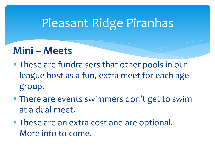#### **Mini – Meets**

- **These are fundraisers that other pools in our** league host as a fun, extra meet for each age group.
- **There are events swimmers don't get to swim** at a dual meet.
- **These are an extra cost and are optional.** More info to come.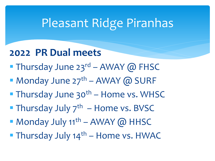#### **2022 PR Dual meets**

- **Thursday June 23<sup>rd</sup> AWAY @ FHSC**
- $\blacksquare$  Monday June 27<sup>th</sup> AWAY @ SURF
- **Thursday June 30th Home vs. WHSC**
- **Thursday July**  $7^{th}$  **Home vs. BVSC**
- $\blacksquare$  Monday July 11<sup>th</sup> AWAY @ HHSC
- **Thursday July 14<sup>th</sup> Home vs. HWAC**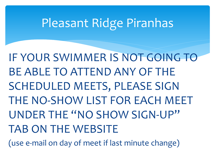IF YOUR SWIMMER IS NOT GOING TO BE ABLE TO ATTEND ANY OF THE SCHEDULED MEETS, PLEASE SIGN THE NO-SHOW LIST FOR EACH MEET UNDER THE "NO SHOW SIGN-UP" TAB ON THE WEBSITE (use e-mail on day of meet if last minute change)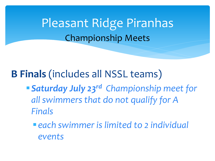Pleasant Ridge Piranhas Championship Meets

**B Finals** (includes all NSSL teams)

- ▪*Saturday July 23rd Championship meet for all swimmers that do not qualify for A Finals*
	- each swimmer is limited to 2 individual *events*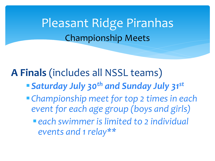Pleasant Ridge Piranhas Championship Meets

**A Finals** (includes all NSSL teams)

- ▪*Saturday July 30th and Sunday July 31st*
- ▪*Championship meet for top 2 times in each event for each age group (boys and girls)*
	- each swimmer is limited to 2 individual *events and 1 relay\*\**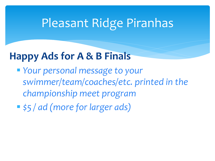#### **Happy Ads for A & B Finals**

- *Your personal message to your swimmer/team/coaches/etc. printed in the championship meet program*
- *\$5 / ad (more for larger ads)*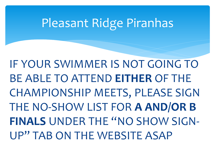IF YOUR SWIMMER IS NOT GOING TO BE ABLE TO ATTEND **EITHER** OF THE CHAMPIONSHIP MEETS, PLEASE SIGN THE NO-SHOW LIST FOR **A AND/OR B**  FINALS UNDER THE "NO SHOW SIGN-UP" TAB ON THE WEBSITE ASAP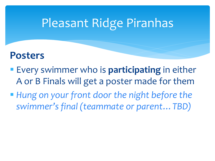#### **Posters**

- **Exery swimmer who is participating in either** A or B Finals will get a poster made for them
- *Hung on your front door the night before the swimmer's final (teammate or parent…TBD)*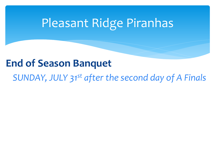#### **End of Season Banquet**

*SUNDAY, JULY 31st after the second day of A Finals*